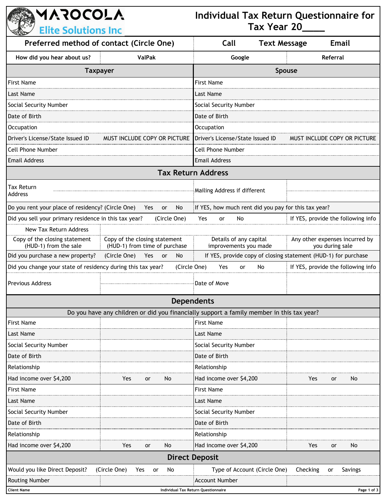**AAROCOLA Individual Tax Return Questionnaire for Tax Year 20\_\_\_\_ Elite Solutions Inc Preferred method of contact (Circle One) Call Text Message Email How did you hear about us? ValPak Google Referral Taxpayer Spouse** First Name First Name Last Name Last Name Social Security Number Social Security Number Social Security Number Date of Birth Date of Birth Occupation Occupation Driver's License/State Issued ID MUST INCLUDE COPY OR PICTURE Driver's License/State Issued ID MUST INCLUDE COPY OR PICTURE Cell Phone Number Cell Phone Number Email Address Email Address **Tax Return Address** Tax Return Tax Return<br>Address Do you rent your place of residency? (Circle One) Yes or No If YES, how much rent did you pay for this tax year? Did you sell your primary residence in this tax year? (Circle One) Yes or No If YES, provide the following info New Tax Return Address Copy of the closing statement Details of any capital Any other expenses incurred by Copy of the closing statement (HUD-1) from the sale (HUD-1) from time of purchase improvements you made you during sale Did you purchase a new property? (Circle One) Yes or No If YES, provide copy of closing statement (HUD-1) for purchase Did you change your state of residency during this tax year? (Circle One) Yes or No If YES, provide the following info Previous Address Date of Move **Dependents** Do you have any children or did you financially support a family member in this tax year? First Name First Name Last Name Last Name Social Security Number  $\parallel$  security Number  $\parallel$  Social Security Number **Date of Birth Date of Birth Date of Birth Date of Birth Date of Birth Date of Birth Date of Birth Date of Birth** Relationship Relationship Had income over \$4,200 Yes or No Had income over \$4,200 Yes or No First Name First Name Last Name Last Name Social Security Number  $\parallel$  security Number  $\parallel$  Social Security Number **Date of Birth Date of Birth Date of Birth Date of Birth Date of Birth Date of Birth Date of Birth Date of Birth** Relationship Relationship Had income over \$4,200 Yes or No Had income over \$4,200 Yes or No **Direct Deposit** Would you like Direct Deposit? (Circle One) Yes or No  $\parallel$  Type of Account (Circle One) Checking or Savings Routing Number **Account Number Account Number** Account Number **Client Name Individual Tax Return Questionnaire Page 1 of 3**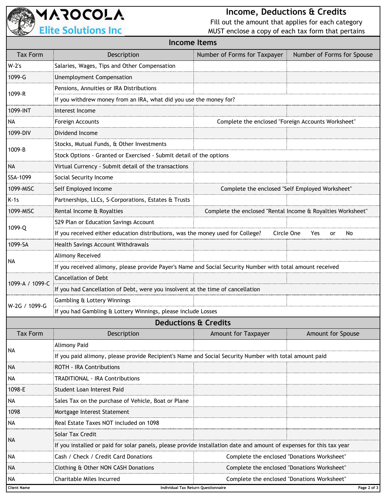

## **Income, Deductions & Credits**

Fill out the amount that applies for each category MUST enclose a copy of each tax form that pertains

| <b>COLOR</b><br>$5.8001$ can comment<br>Income Items |                                                                                                                      |                                                             |                            |  |  |
|------------------------------------------------------|----------------------------------------------------------------------------------------------------------------------|-------------------------------------------------------------|----------------------------|--|--|
| <b>Tax Form</b>                                      | Description                                                                                                          | Number of Forms for Taxpayer                                | Number of Forms for Spouse |  |  |
| W-2's                                                | Salaries, Wages, Tips and Other Compensation                                                                         |                                                             |                            |  |  |
| 1099-G                                               | <b>Unemployment Compensation</b>                                                                                     |                                                             |                            |  |  |
| 1099-R                                               | Pensions, Annuities or IRA Distributions                                                                             |                                                             |                            |  |  |
|                                                      | If you withdrew money from an IRA, what did you use the money for?                                                   |                                                             |                            |  |  |
| 1099-INT                                             | Interest Income                                                                                                      |                                                             |                            |  |  |
| <b>NA</b>                                            | Foreign Accounts                                                                                                     | Complete the enclosed "Foreign Accounts Worksheet"          |                            |  |  |
| 1099-DIV                                             | Dividend Income                                                                                                      |                                                             |                            |  |  |
| 1009-B                                               | Stocks, Mutual Funds, & Other Investments                                                                            |                                                             |                            |  |  |
|                                                      | Stock Options - Granted or Exercised - Submit detail of the options                                                  |                                                             |                            |  |  |
| NA                                                   | Virtual Currency - Submit detail of the transactions                                                                 |                                                             |                            |  |  |
| SSA-1099                                             | Social Security Income                                                                                               |                                                             |                            |  |  |
| 1099-MISC                                            | Self Employed Income                                                                                                 | Complete the enclosed "Self Employed Worksheet"             |                            |  |  |
| $K-1s$                                               | Partnerships, LLCs, S-Corporations, Estates & Trusts                                                                 |                                                             |                            |  |  |
| 1099-MISC                                            | Rental Income & Royalties                                                                                            | Complete the enclosed "Rental Income & Royalties Worksheet" |                            |  |  |
|                                                      | 529 Plan or Education Savings Account                                                                                |                                                             |                            |  |  |
| 1099-Q                                               | If you received either education distributions, was the money used for College?                                      | Circle One                                                  | Yes<br>No<br>or            |  |  |
| 1099-SA                                              | Health Savings Account Withdrawals                                                                                   |                                                             |                            |  |  |
|                                                      | Alimony Received                                                                                                     |                                                             |                            |  |  |
| NA                                                   | If you received alimony, please provide Payer's Name and Social Security Number with total amount received           |                                                             |                            |  |  |
|                                                      | <b>Cancellation of Debt</b>                                                                                          |                                                             |                            |  |  |
| 1099-A / 1099-C                                      | If you had Cancellation of Debt, were you insolvent at the time of cancellation                                      |                                                             |                            |  |  |
| W-2G / 1099-G                                        | Gambling & Lottery Winnings                                                                                          |                                                             |                            |  |  |
|                                                      | If you had Gambling & Lottery Winnings, please include Losses                                                        |                                                             |                            |  |  |
| <b>Deductions &amp; Credits</b>                      |                                                                                                                      |                                                             |                            |  |  |
| <b>Tax Form</b>                                      | Description                                                                                                          | Amount for Taxpayer                                         | Amount for Spouse          |  |  |
| NA                                                   | <b>Alimony Paid</b>                                                                                                  |                                                             |                            |  |  |
|                                                      | If you paid alimony, please provide Recipient's Name and Social Security Number with total amount paid               |                                                             |                            |  |  |
| <b>NA</b>                                            | ROTH - IRA Contributions                                                                                             |                                                             |                            |  |  |
| <b>NA</b>                                            | <b>TRADITIONAL - IRA Contributions</b>                                                                               |                                                             |                            |  |  |
| 1098-E                                               | Student Loan Interest Paid                                                                                           |                                                             |                            |  |  |
| <b>NA</b>                                            | Sales Tax on the purchase of Vehicle, Boat or Plane                                                                  |                                                             |                            |  |  |
| 1098                                                 | Mortgage Interest Statement                                                                                          |                                                             |                            |  |  |
| NA                                                   | Real Estate Taxes NOT included on 1098                                                                               |                                                             |                            |  |  |
| NA                                                   | Solar Tax Credit                                                                                                     |                                                             |                            |  |  |
|                                                      | If you installed or paid for solar panels, please provide installation date and amount of expenses for this tax year |                                                             |                            |  |  |
| <b>NA</b>                                            | Cash / Check / Credit Card Donations                                                                                 | Complete the enclosed "Donations Worksheet"                 |                            |  |  |
| <b>NA</b>                                            | Clothing & Other NON CASH Donations                                                                                  | Complete the enclosed "Donations Worksheet"                 |                            |  |  |
| <b>NA</b>                                            | Charitable Miles Incurred                                                                                            | Complete the enclosed "Donations Worksheet"                 |                            |  |  |
| <b>Client Name</b>                                   | Page 2 of 3<br>Individual Tax Return Questionnaire                                                                   |                                                             |                            |  |  |